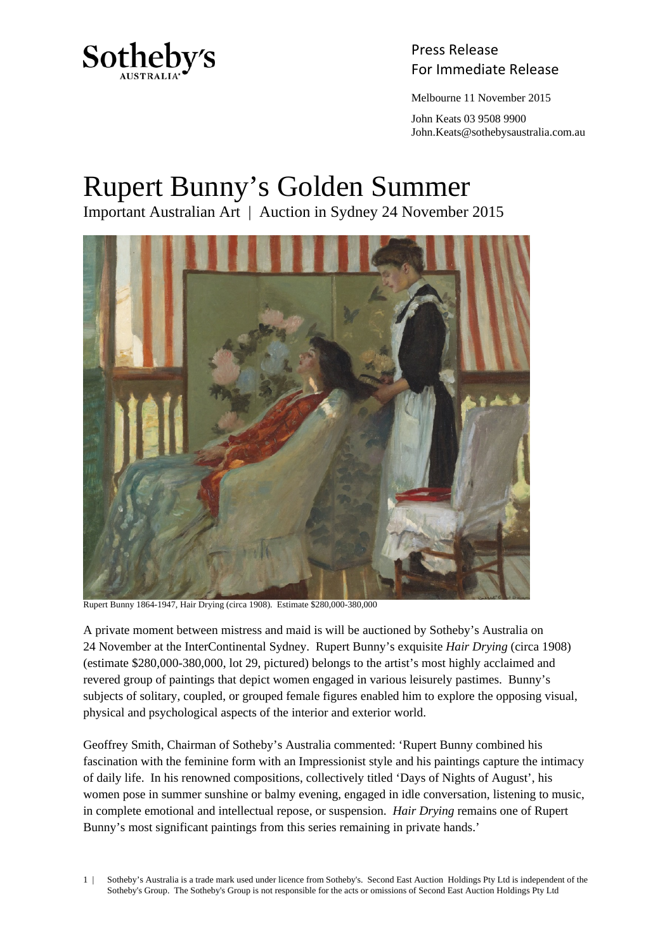

Press Release Sotheby's<br>For Immediate Release

Melbourne 11 November 2015

 John Keats 03 9508 9900 John.Keats@sothebysaustralia.com.au

## Rupert Bunny's Golden Summer

Important Australian Art | Auction in Sydney 24 November 2015



Rupert Bunny 1864-1947, Hair Drying (circa 1908). Estimate \$280,000-380,000

A private moment between mistress and maid is will be auctioned by Sotheby's Australia on 24 November at the InterContinental Sydney. Rupert Bunny's exquisite *Hair Drying* (circa 1908) (estimate \$280,000-380,000, lot 29, pictured) belongs to the artist's most highly acclaimed and revered group of paintings that depict women engaged in various leisurely pastimes. Bunny's subjects of solitary, coupled, or grouped female figures enabled him to explore the opposing visual, physical and psychological aspects of the interior and exterior world.

Geoffrey Smith, Chairman of Sotheby's Australia commented: 'Rupert Bunny combined his fascination with the feminine form with an Impressionist style and his paintings capture the intimacy of daily life. In his renowned compositions, collectively titled 'Days of Nights of August', his women pose in summer sunshine or balmy evening, engaged in idle conversation, listening to music, in complete emotional and intellectual repose, or suspension. *Hair Drying* remains one of Rupert Bunny's most significant paintings from this series remaining in private hands.'

1 | Sotheby's Australia is a trade mark used under licence from Sotheby's. Second East Auction Holdings Pty Ltd is independent of the Sotheby's Group. The Sotheby's Group is not responsible for the acts or omissions of Second East Auction Holdings Pty Ltd